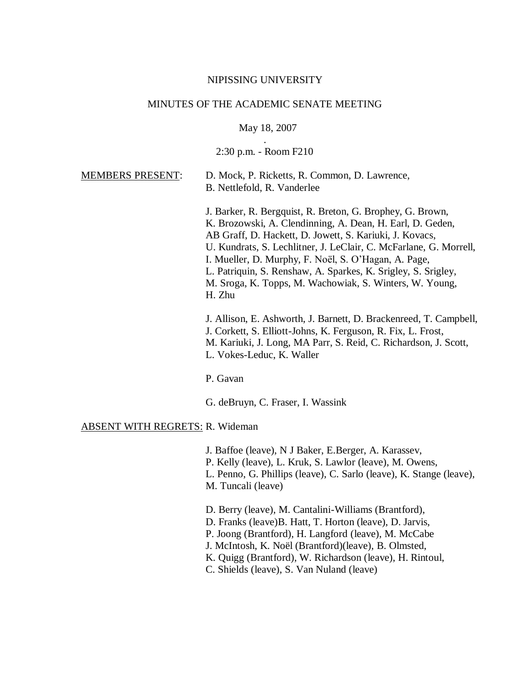### NIPISSING UNIVERSITY

# MINUTES OF THE ACADEMIC SENATE MEETING

May 18, 2007

. 2:30 p.m. - Room F210

MEMBERS PRESENT: D. Mock, P. Ricketts, R. Common, D. Lawrence, B. Nettlefold, R. Vanderlee

> J. Barker, R. Bergquist, R. Breton, G. Brophey, G. Brown, K. Brozowski, A. Clendinning, A. Dean, H. Earl, D. Geden, AB Graff, D. Hackett, D. Jowett, S. Kariuki, J. Kovacs, U. Kundrats, S. Lechlitner, J. LeClair, C. McFarlane, G. Morrell, I. Mueller, D. Murphy, F. Noël, S. O'Hagan, A. Page, L. Patriquin, S. Renshaw, A. Sparkes, K. Srigley, S. Srigley, M. Sroga, K. Topps, M. Wachowiak, S. Winters, W. Young, H. Zhu

> J. Allison, E. Ashworth, J. Barnett, D. Brackenreed, T. Campbell, J. Corkett, S. Elliott-Johns, K. Ferguson, R. Fix, L. Frost, M. Kariuki, J. Long, MA Parr, S. Reid, C. Richardson, J. Scott, L. Vokes-Leduc, K. Waller

P. Gavan

G. deBruyn, C. Fraser, I. Wassink

### ABSENT WITH REGRETS: R. Wideman

- J. Baffoe (leave), N J Baker, E.Berger, A. Karassev,
- P. Kelly (leave), L. Kruk, S. Lawlor (leave), M. Owens,
- L. Penno, G. Phillips (leave), C. Sarlo (leave), K. Stange (leave),
- M. Tuncali (leave)
- D. Berry (leave), M. Cantalini-Williams (Brantford),
- D. Franks (leave)B. Hatt, T. Horton (leave), D. Jarvis,
- P. Joong (Brantford), H. Langford (leave), M. McCabe
- J. McIntosh, K. Noël (Brantford)(leave), B. Olmsted,
- K. Quigg (Brantford), W. Richardson (leave), H. Rintoul,
- C. Shields (leave), S. Van Nuland (leave)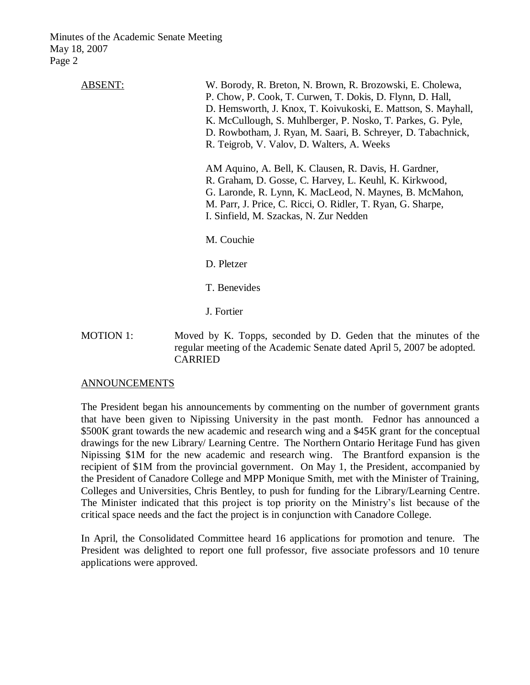| <b>ABSENT:</b>   | W. Borody, R. Breton, N. Brown, R. Brozowski, E. Cholewa,<br>P. Chow, P. Cook, T. Curwen, T. Dokis, D. Flynn, D. Hall,<br>D. Hemsworth, J. Knox, T. Koivukoski, E. Mattson, S. Mayhall,<br>K. McCullough, S. Muhlberger, P. Nosko, T. Parkes, G. Pyle,<br>D. Rowbotham, J. Ryan, M. Saari, B. Schreyer, D. Tabachnick,<br>R. Teigrob, V. Valov, D. Walters, A. Weeks |
|------------------|----------------------------------------------------------------------------------------------------------------------------------------------------------------------------------------------------------------------------------------------------------------------------------------------------------------------------------------------------------------------|
|                  | AM Aquino, A. Bell, K. Clausen, R. Davis, H. Gardner,<br>R. Graham, D. Gosse, C. Harvey, L. Keuhl, K. Kirkwood,<br>G. Laronde, R. Lynn, K. MacLeod, N. Maynes, B. McMahon,<br>M. Parr, J. Price, C. Ricci, O. Ridler, T. Ryan, G. Sharpe,<br>I. Sinfield, M. Szackas, N. Zur Nedden                                                                                  |
|                  | M. Couchie                                                                                                                                                                                                                                                                                                                                                           |
|                  | D. Pletzer                                                                                                                                                                                                                                                                                                                                                           |
|                  | T. Benevides                                                                                                                                                                                                                                                                                                                                                         |
|                  | J. Fortier                                                                                                                                                                                                                                                                                                                                                           |
| <b>MOTION 1:</b> | Moved by K. Topps, seconded by D. Geden that the minutes of the<br>regular meeting of the Academic Senate dated April 5, 2007 be adopted.                                                                                                                                                                                                                            |

**ANNOUNCEMENTS** 

CARRIED

The President began his announcements by commenting on the number of government grants that have been given to Nipissing University in the past month. Fednor has announced a \$500K grant towards the new academic and research wing and a \$45K grant for the conceptual drawings for the new Library/ Learning Centre. The Northern Ontario Heritage Fund has given Nipissing \$1M for the new academic and research wing. The Brantford expansion is the recipient of \$1M from the provincial government. On May 1, the President, accompanied by the President of Canadore College and MPP Monique Smith, met with the Minister of Training, Colleges and Universities, Chris Bentley, to push for funding for the Library/Learning Centre. The Minister indicated that this project is top priority on the Ministry's list because of the critical space needs and the fact the project is in conjunction with Canadore College.

In April, the Consolidated Committee heard 16 applications for promotion and tenure. The President was delighted to report one full professor, five associate professors and 10 tenure applications were approved.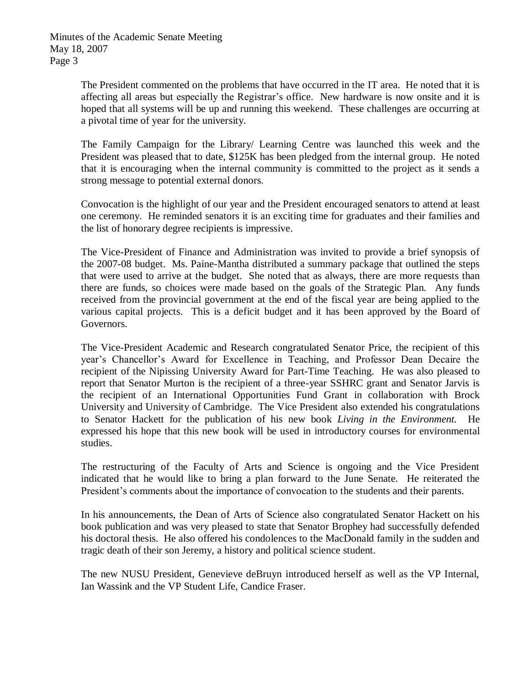> The President commented on the problems that have occurred in the IT area. He noted that it is affecting all areas but especially the Registrar's office. New hardware is now onsite and it is hoped that all systems will be up and running this weekend. These challenges are occurring at a pivotal time of year for the university.

> The Family Campaign for the Library/ Learning Centre was launched this week and the President was pleased that to date, \$125K has been pledged from the internal group. He noted that it is encouraging when the internal community is committed to the project as it sends a strong message to potential external donors.

> Convocation is the highlight of our year and the President encouraged senators to attend at least one ceremony. He reminded senators it is an exciting time for graduates and their families and the list of honorary degree recipients is impressive.

> The Vice-President of Finance and Administration was invited to provide a brief synopsis of the 2007-08 budget. Ms. Paine-Mantha distributed a summary package that outlined the steps that were used to arrive at the budget. She noted that as always, there are more requests than there are funds, so choices were made based on the goals of the Strategic Plan. Any funds received from the provincial government at the end of the fiscal year are being applied to the various capital projects. This is a deficit budget and it has been approved by the Board of Governors.

> The Vice-President Academic and Research congratulated Senator Price, the recipient of this year's Chancellor's Award for Excellence in Teaching, and Professor Dean Decaire the recipient of the Nipissing University Award for Part-Time Teaching. He was also pleased to report that Senator Murton is the recipient of a three-year SSHRC grant and Senator Jarvis is the recipient of an International Opportunities Fund Grant in collaboration with Brock University and University of Cambridge. The Vice President also extended his congratulations to Senator Hackett for the publication of his new book *Living in the Environment.* He expressed his hope that this new book will be used in introductory courses for environmental studies.

> The restructuring of the Faculty of Arts and Science is ongoing and the Vice President indicated that he would like to bring a plan forward to the June Senate. He reiterated the President's comments about the importance of convocation to the students and their parents.

> In his announcements, the Dean of Arts of Science also congratulated Senator Hackett on his book publication and was very pleased to state that Senator Brophey had successfully defended his doctoral thesis. He also offered his condolences to the MacDonald family in the sudden and tragic death of their son Jeremy, a history and political science student.

> The new NUSU President, Genevieve deBruyn introduced herself as well as the VP Internal, Ian Wassink and the VP Student Life, Candice Fraser.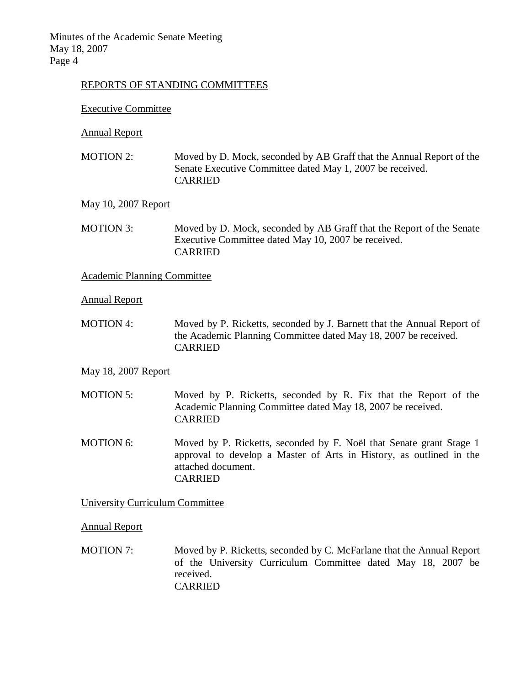## REPORTS OF STANDING COMMITTEES

Executive Committee

Annual Report

MOTION 2: Moved by D. Mock, seconded by AB Graff that the Annual Report of the Senate Executive Committee dated May 1, 2007 be received. CARRIED

May 10, 2007 Report

MOTION 3: Moved by D. Mock, seconded by AB Graff that the Report of the Senate Executive Committee dated May 10, 2007 be received. CARRIED

Academic Planning Committee

Annual Report

MOTION 4: Moved by P. Ricketts, seconded by J. Barnett that the Annual Report of the Academic Planning Committee dated May 18, 2007 be received. CARRIED

May 18, 2007 Report

MOTION 5: Moved by P. Ricketts, seconded by R. Fix that the Report of the Academic Planning Committee dated May 18, 2007 be received. CARRIED

MOTION 6: Moved by P. Ricketts, seconded by F. Noël that Senate grant Stage 1 approval to develop a Master of Arts in History, as outlined in the attached document. CARRIED

University Curriculum Committee

Annual Report

MOTION 7: Moved by P. Ricketts, seconded by C. McFarlane that the Annual Report of the University Curriculum Committee dated May 18, 2007 be received. CARRIED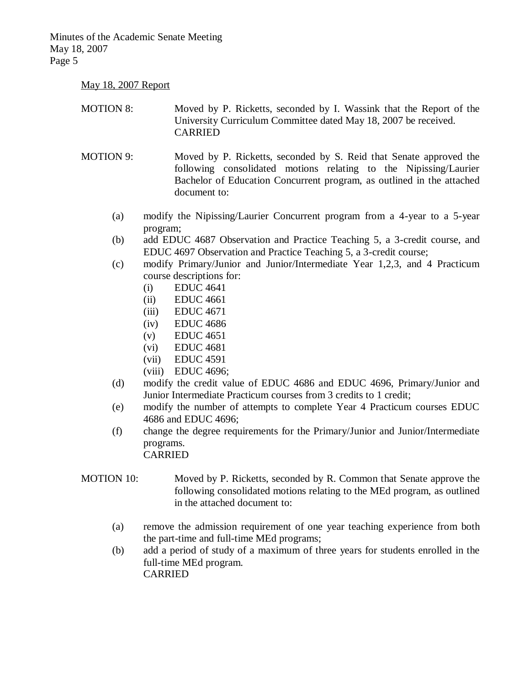May 18, 2007 Report

| MOTION 8: | Moved by P. Ricketts, seconded by I. Wassink that the Report of the |
|-----------|---------------------------------------------------------------------|
|           | University Curriculum Committee dated May 18, 2007 be received.     |
|           | <b>CARRIED</b>                                                      |

- MOTION 9: Moved by P. Ricketts, seconded by S. Reid that Senate approved the following consolidated motions relating to the Nipissing/Laurier Bachelor of Education Concurrent program, as outlined in the attached document to:
	- (a) modify the Nipissing/Laurier Concurrent program from a 4-year to a 5-year program;
	- (b) add EDUC 4687 Observation and Practice Teaching 5, a 3-credit course, and EDUC 4697 Observation and Practice Teaching 5, a 3-credit course;
	- (c) modify Primary/Junior and Junior/Intermediate Year 1,2,3, and 4 Practicum course descriptions for:
		- (i) EDUC 4641
		- (ii) EDUC 4661
		- (iii) EDUC 4671
		- (iv) EDUC 4686
		- (v) EDUC 4651
		- (vi) EDUC 4681
		- (vii) EDUC 4591
		- (viii) EDUC 4696;
	- (d) modify the credit value of EDUC 4686 and EDUC 4696, Primary/Junior and Junior Intermediate Practicum courses from 3 credits to 1 credit;
	- (e) modify the number of attempts to complete Year 4 Practicum courses EDUC 4686 and EDUC 4696;
	- (f) change the degree requirements for the Primary/Junior and Junior/Intermediate programs.
		- CARRIED
- MOTION 10: Moved by P. Ricketts, seconded by R. Common that Senate approve the following consolidated motions relating to the MEd program, as outlined in the attached document to:
	- (a) remove the admission requirement of one year teaching experience from both the part-time and full-time MEd programs;
	- (b) add a period of study of a maximum of three years for students enrolled in the full-time MEd program. CARRIED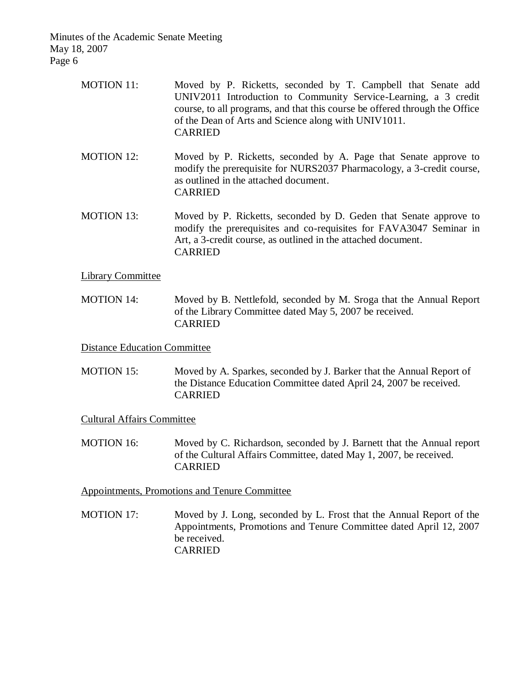- MOTION 11: Moved by P. Ricketts, seconded by T. Campbell that Senate add UNIV2011 Introduction to Community Service-Learning, a 3 credit course, to all programs, and that this course be offered through the Office of the Dean of Arts and Science along with UNIV1011. CARRIED MOTION 12: Moved by P. Ricketts, seconded by A. Page that Senate approve to
	- modify the prerequisite for NURS2037 Pharmacology, a 3-credit course, as outlined in the attached document. CARRIED
- MOTION 13: Moved by P. Ricketts, seconded by D. Geden that Senate approve to modify the prerequisites and co-requisites for FAVA3047 Seminar in Art, a 3-credit course, as outlined in the attached document. CARRIED

Library Committee

MOTION 14: Moved by B. Nettlefold, seconded by M. Sroga that the Annual Report of the Library Committee dated May 5, 2007 be received. CARRIED

Distance Education Committee

MOTION 15: Moved by A. Sparkes, seconded by J. Barker that the Annual Report of the Distance Education Committee dated April 24, 2007 be received. CARRIED

# Cultural Affairs Committee

MOTION 16: Moved by C. Richardson, seconded by J. Barnett that the Annual report of the Cultural Affairs Committee, dated May 1, 2007, be received. CARRIED

Appointments, Promotions and Tenure Committee

MOTION 17: Moved by J. Long, seconded by L. Frost that the Annual Report of the Appointments, Promotions and Tenure Committee dated April 12, 2007 be received. CARRIED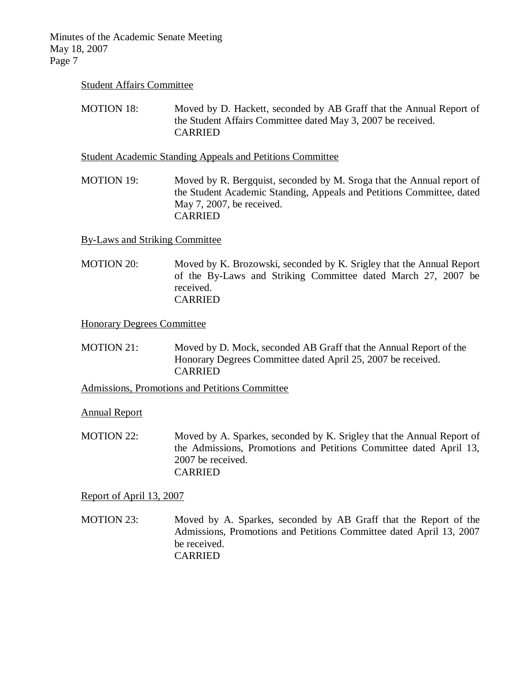Student Affairs Committee

MOTION 18: Moved by D. Hackett, seconded by AB Graff that the Annual Report of the Student Affairs Committee dated May 3, 2007 be received. CARRIED

Student Academic Standing Appeals and Petitions Committee

MOTION 19: Moved by R. Bergquist, seconded by M. Sroga that the Annual report of the Student Academic Standing, Appeals and Petitions Committee, dated May 7, 2007, be received. CARRIED

By-Laws and Striking Committee

MOTION 20: Moved by K. Brozowski, seconded by K. Srigley that the Annual Report of the By-Laws and Striking Committee dated March 27, 2007 be received. CARRIED

Honorary Degrees Committee

MOTION 21: Moved by D. Mock, seconded AB Graff that the Annual Report of the Honorary Degrees Committee dated April 25, 2007 be received. CARRIED

Admissions, Promotions and Petitions Committee

Annual Report

MOTION 22: Moved by A. Sparkes, seconded by K. Srigley that the Annual Report of the Admissions, Promotions and Petitions Committee dated April 13, 2007 be received. CARRIED

Report of April 13, 2007

MOTION 23: Moved by A. Sparkes, seconded by AB Graff that the Report of the Admissions, Promotions and Petitions Committee dated April 13, 2007 be received. CARRIED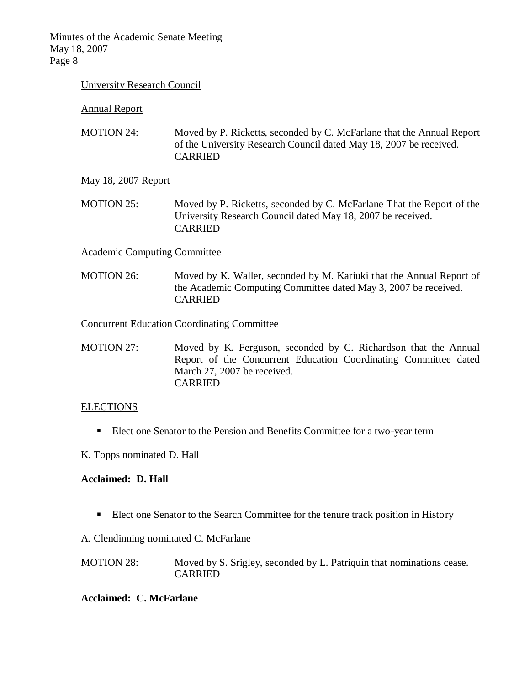## University Research Council

## Annual Report

MOTION 24: Moved by P. Ricketts, seconded by C. McFarlane that the Annual Report of the University Research Council dated May 18, 2007 be received. CARRIED

## May 18, 2007 Report

MOTION 25: Moved by P. Ricketts, seconded by C. McFarlane That the Report of the University Research Council dated May 18, 2007 be received. CARRIED

Academic Computing Committee

MOTION 26: Moved by K. Waller, seconded by M. Kariuki that the Annual Report of the Academic Computing Committee dated May 3, 2007 be received. CARRIED

Concurrent Education Coordinating Committee

MOTION 27: Moved by K. Ferguson, seconded by C. Richardson that the Annual Report of the Concurrent Education Coordinating Committee dated March 27, 2007 be received. **CARRIED** 

# **ELECTIONS**

Elect one Senator to the Pension and Benefits Committee for a two-year term

K. Topps nominated D. Hall

### **Acclaimed: D. Hall**

**Elect one Senator to the Search Committee for the tenure track position in History** 

A. Clendinning nominated C. McFarlane

MOTION 28: Moved by S. Srigley, seconded by L. Patriquin that nominations cease. CARRIED

## **Acclaimed: C. McFarlane**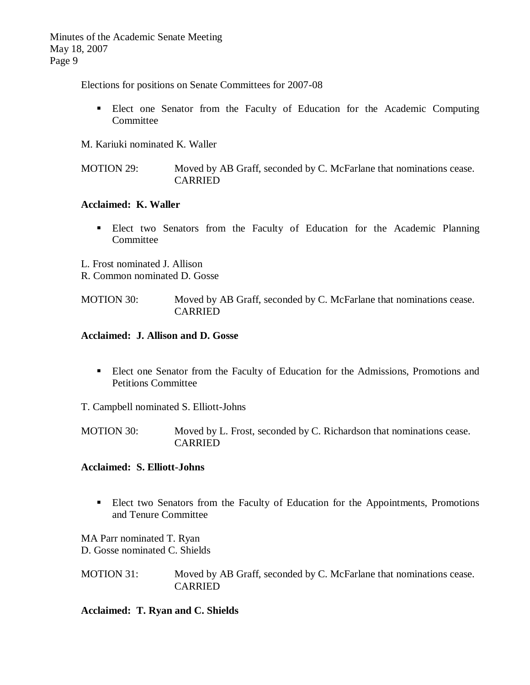Elections for positions on Senate Committees for 2007-08

- Elect one Senator from the Faculty of Education for the Academic Computing **Committee**
- M. Kariuki nominated K. Waller

MOTION 29: Moved by AB Graff, seconded by C. McFarlane that nominations cease. CARRIED

# **Acclaimed: K. Waller**

- **Elect two Senators from the Faculty of Education for the Academic Planning Committee**
- L. Frost nominated J. Allison
- R. Common nominated D. Gosse

MOTION 30: Moved by AB Graff, seconded by C. McFarlane that nominations cease. CARRIED

## **Acclaimed: J. Allison and D. Gosse**

 Elect one Senator from the Faculty of Education for the Admissions, Promotions and Petitions Committee

T. Campbell nominated S. Elliott-Johns

MOTION 30: Moved by L. Frost, seconded by C. Richardson that nominations cease. CARRIED

# **Acclaimed: S. Elliott-Johns**

**Elect two Senators from the Faculty of Education for the Appointments, Promotions** and Tenure Committee

MA Parr nominated T. Ryan D. Gosse nominated C. Shields

MOTION 31: Moved by AB Graff, seconded by C. McFarlane that nominations cease. **CARRIED** 

**Acclaimed: T. Ryan and C. Shields**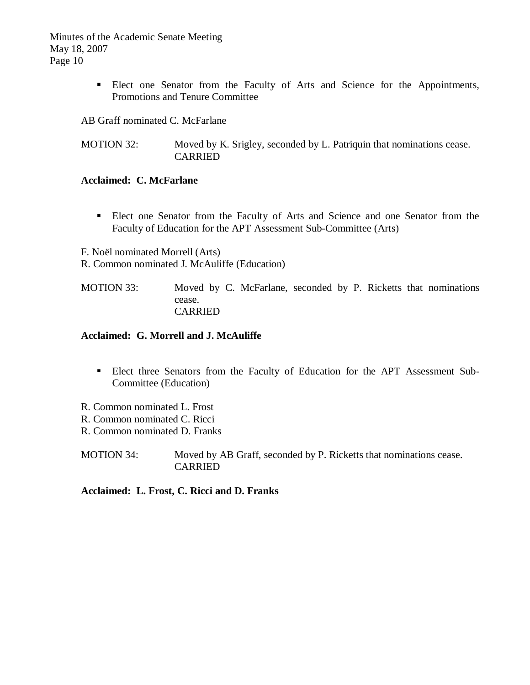> Elect one Senator from the Faculty of Arts and Science for the Appointments, Promotions and Tenure Committee

AB Graff nominated C. McFarlane

MOTION 32: Moved by K. Srigley, seconded by L. Patriquin that nominations cease. CARRIED

# **Acclaimed: C. McFarlane**

- Elect one Senator from the Faculty of Arts and Science and one Senator from the Faculty of Education for the APT Assessment Sub-Committee (Arts)
- F. Noël nominated Morrell (Arts) R. Common nominated J. McAuliffe (Education)
- MOTION 33: Moved by C. McFarlane, seconded by P. Ricketts that nominations cease. CARRIED

# **Acclaimed: G. Morrell and J. McAuliffe**

- Elect three Senators from the Faculty of Education for the APT Assessment Sub-Committee (Education)
- R. Common nominated L. Frost
- R. Common nominated C. Ricci
- R. Common nominated D. Franks

MOTION 34: Moved by AB Graff, seconded by P. Ricketts that nominations cease. CARRIED

**Acclaimed: L. Frost, C. Ricci and D. Franks**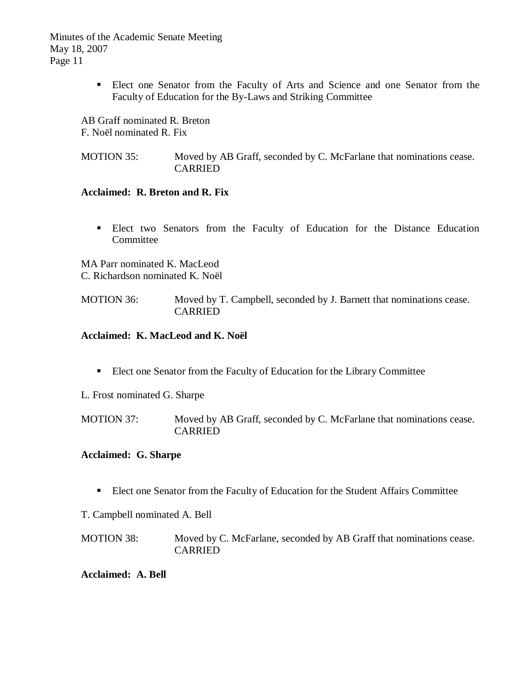> Elect one Senator from the Faculty of Arts and Science and one Senator from the Faculty of Education for the By-Laws and Striking Committee

AB Graff nominated R. Breton F. Noël nominated R. Fix

MOTION 35: Moved by AB Graff, seconded by C. McFarlane that nominations cease. CARRIED

# **Acclaimed: R. Breton and R. Fix**

**Elect two Senators from the Faculty of Education for the Distance Education Committee** 

MA Parr nominated K. MacLeod C. Richardson nominated K. Noël

MOTION 36: Moved by T. Campbell, seconded by J. Barnett that nominations cease. CARRIED

**Acclaimed: K. MacLeod and K. Noël**

Elect one Senator from the Faculty of Education for the Library Committee

L. Frost nominated G. Sharpe

MOTION 37: Moved by AB Graff, seconded by C. McFarlane that nominations cease. CARRIED

**Acclaimed: G. Sharpe**

- Elect one Senator from the Faculty of Education for the Student Affairs Committee
- T. Campbell nominated A. Bell

MOTION 38: Moved by C. McFarlane, seconded by AB Graff that nominations cease. CARRIED

**Acclaimed: A. Bell**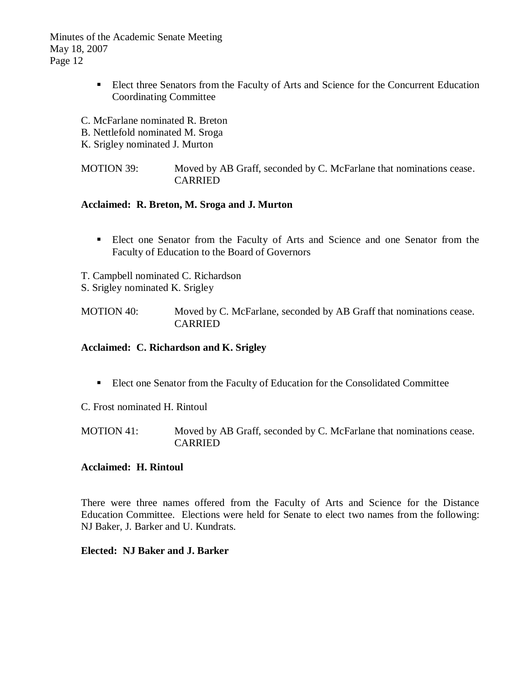- **Elect three Senators from the Faculty of Arts and Science for the Concurrent Education** Coordinating Committee
- C. McFarlane nominated R. Breton
- B. Nettlefold nominated M. Sroga
- K. Srigley nominated J. Murton

MOTION 39: Moved by AB Graff, seconded by C. McFarlane that nominations cease. CARRIED

## **Acclaimed: R. Breton, M. Sroga and J. Murton**

- Elect one Senator from the Faculty of Arts and Science and one Senator from the Faculty of Education to the Board of Governors
- T. Campbell nominated C. Richardson
- S. Srigley nominated K. Srigley

MOTION 40: Moved by C. McFarlane, seconded by AB Graff that nominations cease. CARRIED

# **Acclaimed: C. Richardson and K. Srigley**

- Elect one Senator from the Faculty of Education for the Consolidated Committee
- C. Frost nominated H. Rintoul

MOTION 41: Moved by AB Graff, seconded by C. McFarlane that nominations cease. CARRIED

## **Acclaimed: H. Rintoul**

There were three names offered from the Faculty of Arts and Science for the Distance Education Committee. Elections were held for Senate to elect two names from the following: NJ Baker, J. Barker and U. Kundrats.

### **Elected: NJ Baker and J. Barker**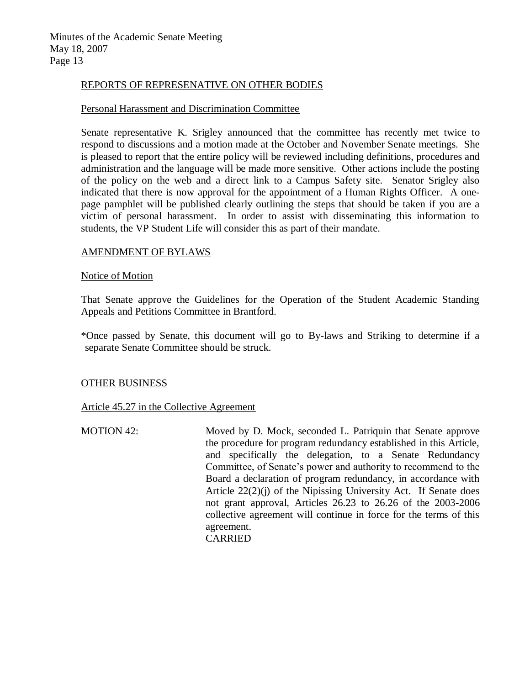### REPORTS OF REPRESENATIVE ON OTHER BODIES

## Personal Harassment and Discrimination Committee

Senate representative K. Srigley announced that the committee has recently met twice to respond to discussions and a motion made at the October and November Senate meetings. She is pleased to report that the entire policy will be reviewed including definitions, procedures and administration and the language will be made more sensitive. Other actions include the posting of the policy on the web and a direct link to a Campus Safety site. Senator Srigley also indicated that there is now approval for the appointment of a Human Rights Officer. A onepage pamphlet will be published clearly outlining the steps that should be taken if you are a victim of personal harassment. In order to assist with disseminating this information to students, the VP Student Life will consider this as part of their mandate.

## AMENDMENT OF BYLAWS

### Notice of Motion

That Senate approve the Guidelines for the Operation of the Student Academic Standing Appeals and Petitions Committee in Brantford.

\*Once passed by Senate, this document will go to By-laws and Striking to determine if a separate Senate Committee should be struck.

### OTHER BUSINESS

### Article 45.27 in the Collective Agreement

MOTION 42: Moved by D. Mock, seconded L. Patriquin that Senate approve the procedure for program redundancy established in this Article, and specifically the delegation, to a Senate Redundancy Committee, of Senate's power and authority to recommend to the Board a declaration of program redundancy, in accordance with Article 22(2)(j) of the Nipissing University Act. If Senate does not grant approval, Articles 26.23 to 26.26 of the 2003-2006 collective agreement will continue in force for the terms of this agreement. CARRIED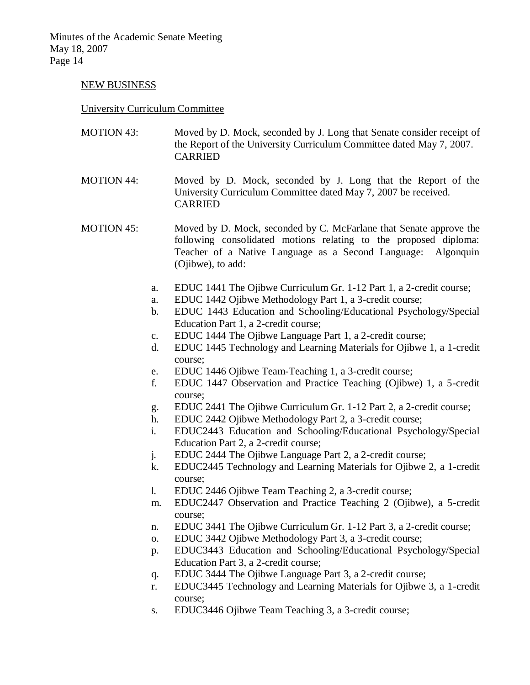### NEW BUSINESS

University Curriculum Committee

- MOTION 43: Moved by D. Mock, seconded by J. Long that Senate consider receipt of the Report of the University Curriculum Committee dated May 7, 2007. CARRIED
- MOTION 44: Moved by D. Mock, seconded by J. Long that the Report of the University Curriculum Committee dated May 7, 2007 be received. CARRIED
- MOTION 45: Moved by D. Mock, seconded by C. McFarlane that Senate approve the following consolidated motions relating to the proposed diploma: Teacher of a Native Language as a Second Language: Algonquin (Ojibwe), to add:
	- a. EDUC 1441 The Ojibwe Curriculum Gr. 1-12 Part 1, a 2-credit course;
	- a. EDUC 1442 Ojibwe Methodology Part 1, a 3-credit course;
	- b. EDUC 1443 Education and Schooling/Educational Psychology/Special Education Part 1, a 2-credit course;
	- c. EDUC 1444 The Ojibwe Language Part 1, a 2-credit course;
	- d. EDUC 1445 Technology and Learning Materials for Ojibwe 1, a 1-credit course;
	- e. EDUC 1446 Ojibwe Team-Teaching 1, a 3-credit course;
	- f. EDUC 1447 Observation and Practice Teaching (Ojibwe) 1, a 5-credit course;
	- g. EDUC 2441 The Ojibwe Curriculum Gr. 1-12 Part 2, a 2-credit course;
	- h. EDUC 2442 Ojibwe Methodology Part 2, a 3-credit course;
	- i. EDUC2443 Education and Schooling/Educational Psychology/Special Education Part 2, a 2-credit course;
	- j. EDUC 2444 The Ojibwe Language Part 2, a 2-credit course;
	- k. EDUC2445 Technology and Learning Materials for Ojibwe 2, a 1-credit course;
	- l. EDUC 2446 Ojibwe Team Teaching 2, a 3-credit course;
	- m. EDUC2447 Observation and Practice Teaching 2 (Ojibwe), a 5-credit course;
	- n. EDUC 3441 The Ojibwe Curriculum Gr. 1-12 Part 3, a 2-credit course;
	- o. EDUC 3442 Ojibwe Methodology Part 3, a 3-credit course;
	- p. EDUC3443 Education and Schooling/Educational Psychology/Special Education Part 3, a 2-credit course;
	- q. EDUC 3444 The Ojibwe Language Part 3, a 2-credit course;
	- r. EDUC3445 Technology and Learning Materials for Ojibwe 3, a 1-credit course;
	- s. EDUC3446 Ojibwe Team Teaching 3, a 3-credit course;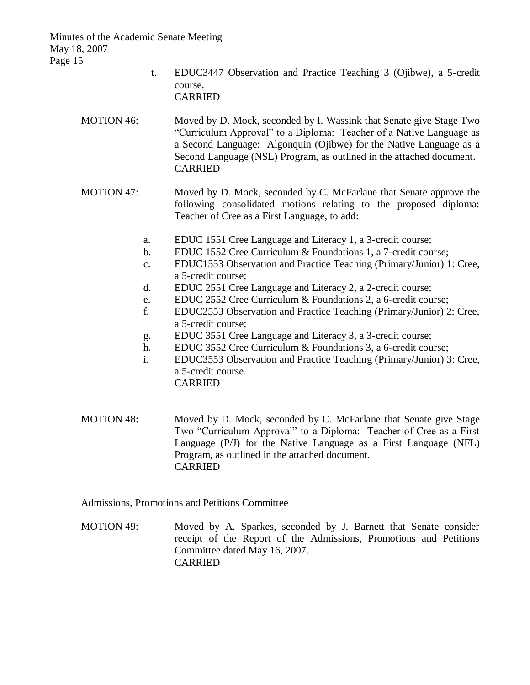- t. EDUC3447 Observation and Practice Teaching 3 (Ojibwe), a 5-credit course. CARRIED
- MOTION 46: Moved by D. Mock, seconded by I. Wassink that Senate give Stage Two "Curriculum Approval" to a Diploma: Teacher of a Native Language as a Second Language: Algonquin (Ojibwe) for the Native Language as a Second Language (NSL) Program, as outlined in the attached document. CARRIED
- MOTION 47: Moved by D. Mock, seconded by C. McFarlane that Senate approve the following consolidated motions relating to the proposed diploma: Teacher of Cree as a First Language, to add:
	- a. EDUC 1551 Cree Language and Literacy 1, a 3-credit course;
	- b. EDUC 1552 Cree Curriculum & Foundations 1, a 7-credit course;
	- c. EDUC1553 Observation and Practice Teaching (Primary/Junior) 1: Cree, a 5-credit course;
	- d. EDUC 2551 Cree Language and Literacy 2, a 2-credit course;
	- e. EDUC 2552 Cree Curriculum & Foundations 2, a 6-credit course;
	- f. EDUC2553 Observation and Practice Teaching (Primary/Junior) 2: Cree, a 5-credit course;
	- g. EDUC 3551 Cree Language and Literacy 3, a 3-credit course;
	- h. EDUC 3552 Cree Curriculum & Foundations 3, a 6-credit course;
	- i. EDUC3553 Observation and Practice Teaching (Primary/Junior) 3: Cree, a 5-credit course. CARRIED
- MOTION 48: Moved by D. Mock, seconded by C. McFarlane that Senate give Stage Two "Curriculum Approval" to a Diploma: Teacher of Cree as a First Language (P/J) for the Native Language as a First Language (NFL) Program, as outlined in the attached document. CARRIED

Admissions, Promotions and Petitions Committee

MOTION 49: Moved by A. Sparkes, seconded by J. Barnett that Senate consider receipt of the Report of the Admissions, Promotions and Petitions Committee dated May 16, 2007. CARRIED